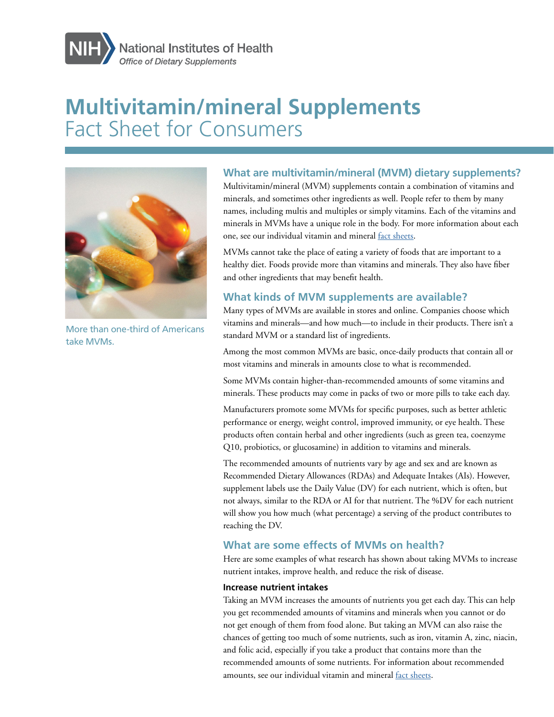

# **Multivitamin/mineral Supplements**  Fact Sheet for Consumers



More than one-third of Americans take MVMs.

## **What are multivitamin/mineral (MVM) dietary supplements?**

Multivitamin/mineral (MVM) supplements contain a combination of vitamins and minerals, and sometimes other ingredients as well. People refer to them by many names, including multis and multiples or simply vitamins. Each of the vitamins and minerals in MVMs have a unique role in the body. For more information about each one, see our individual vitamin and mineral [fact sheets](https://ods.od.nih.gov/factsheets/list-VitaminsMinerals/).

MVMs cannot take the place of eating a variety of foods that are important to a healthy diet. Foods provide more than vitamins and minerals. They also have fiber and other ingredients that may benefit health.

# **What kinds of MVM supplements are available?**

Many types of MVMs are available in stores and online. Companies choose which vitamins and minerals—and how much—to include in their products. There isn't a standard MVM or a standard list of ingredients.

Among the most common MVMs are basic, once-daily products that contain all or most vitamins and minerals in amounts close to what is recommended.

Some MVMs contain higher-than-recommended amounts of some vitamins and minerals. These products may come in packs of two or more pills to take each day.

Manufacturers promote some MVMs for specific purposes, such as better athletic performance or energy, weight control, improved immunity, or eye health. These products often contain herbal and other ingredients (such as green tea, coenzyme Q10, probiotics, or glucosamine) in addition to vitamins and minerals.

The recommended amounts of nutrients vary by age and sex and are known as Recommended Dietary Allowances (RDAs) and Adequate Intakes (AIs). However, supplement labels use the Daily Value (DV) for each nutrient, which is often, but not always, similar to the RDA or AI for that nutrient. The %DV for each nutrient will show you how much (what percentage) a serving of the product contributes to reaching the DV.

# **What are some effects of MVMs on health?**

Here are some examples of what research has shown about taking MVMs to increase nutrient intakes, improve health, and reduce the risk of disease.

### **Increase nutrient intakes**

Taking an MVM increases the amounts of nutrients you get each day. This can help you get recommended amounts of vitamins and minerals when you cannot or do not get enough of them from food alone. But taking an MVM can also raise the chances of getting too much of some nutrients, such as iron, vitamin A, zinc, niacin, and folic acid, especially if you take a product that contains more than the recommended amounts of some nutrients. For information about recommended amounts, see our individual vitamin and mineral [fact sheets](https://ods.od.nih.gov/factsheets/list-VitaminsMinerals/).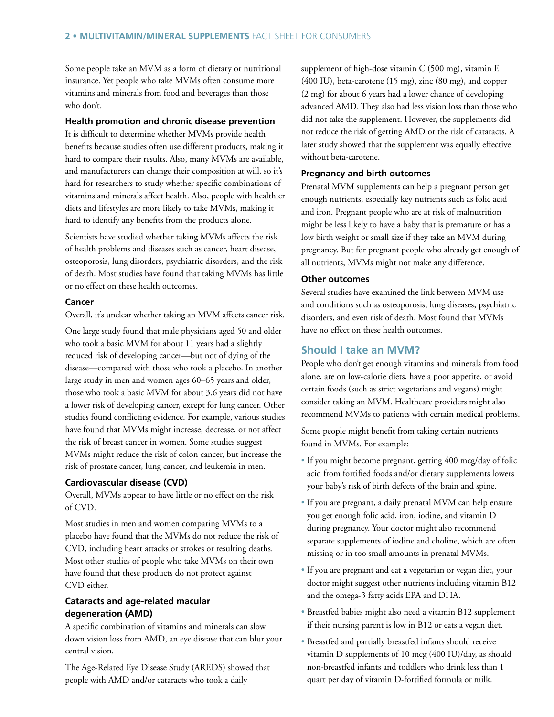Some people take an MVM as a form of dietary or nutritional insurance. Yet people who take MVMs often consume more vitamins and minerals from food and beverages than those who don't.

#### **Health promotion and chronic disease prevention**

It is difficult to determine whether MVMs provide health benefits because studies often use different products, making it hard to compare their results. Also, many MVMs are available, and manufacturers can change their composition at will, so it's hard for researchers to study whether specific combinations of vitamins and minerals affect health. Also, people with healthier diets and lifestyles are more likely to take MVMs, making it hard to identify any benefits from the products alone.

Scientists have studied whether taking MVMs affects the risk of health problems and diseases such as cancer, heart disease, osteoporosis, lung disorders, psychiatric disorders, and the risk of death. Most studies have found that taking MVMs has little or no effect on these health outcomes.

#### **Cancer**

Overall, it's unclear whether taking an MVM affects cancer risk.

One large study found that male physicians aged 50 and older who took a basic MVM for about 11 years had a slightly reduced risk of developing cancer—but not of dying of the disease—compared with those who took a placebo. In another large study in men and women ages 60–65 years and older, those who took a basic MVM for about 3.6 years did not have a lower risk of developing cancer, except for lung cancer. Other studies found conflicting evidence. For example, various studies have found that MVMs might increase, decrease, or not affect the risk of breast cancer in women. Some studies suggest MVMs might reduce the risk of colon cancer, but increase the risk of prostate cancer, lung cancer, and leukemia in men.

#### **Cardiovascular disease (CVD)**

Overall, MVMs appear to have little or no effect on the risk of CVD.

Most studies in men and women comparing MVMs to a placebo have found that the MVMs do not reduce the risk of CVD, including heart attacks or strokes or resulting deaths. Most other studies of people who take MVMs on their own have found that these products do not protect against CVD either.

#### **Cataracts and age-related macular degeneration (AMD)**

A specific combination of vitamins and minerals can slow down vision loss from AMD, an eye disease that can blur your central vision.

The Age-Related Eye Disease Study (AREDS) showed that people with AMD and/or cataracts who took a daily

supplement of high-dose vitamin C (500 mg), vitamin E (400 IU), beta-carotene (15 mg), zinc (80 mg), and copper (2 mg) for about 6 years had a lower chance of developing advanced AMD. They also had less vision loss than those who did not take the supplement. However, the supplements did not reduce the risk of getting AMD or the risk of cataracts. A later study showed that the supplement was equally effective without beta-carotene.

#### **Pregnancy and birth outcomes**

Prenatal MVM supplements can help a pregnant person get enough nutrients, especially key nutrients such as folic acid and iron. Pregnant people who are at risk of malnutrition might be less likely to have a baby that is premature or has a low birth weight or small size if they take an MVM during pregnancy. But for pregnant people who already get enough of all nutrients, MVMs might not make any difference.

#### **Other outcomes**

Several studies have examined the link between MVM use and conditions such as osteoporosis, lung diseases, psychiatric disorders, and even risk of death. Most found that MVMs have no effect on these health outcomes.

### **Should I take an MVM?**

People who don't get enough vitamins and minerals from food alone, are on low-calorie diets, have a poor appetite, or avoid certain foods (such as strict vegetarians and vegans) might consider taking an MVM. Healthcare providers might also recommend MVMs to patients with certain medical problems.

Some people might benefit from taking certain nutrients found in MVMs. For example:

- If you might become pregnant, getting 400 mcg/day of folic acid from fortified foods and/or dietary supplements lowers your baby's risk of birth defects of the brain and spine.
- If you are pregnant, a daily prenatal MVM can help ensure you get enough folic acid, iron, iodine, and vitamin D during pregnancy. Your doctor might also recommend separate supplements of iodine and choline, which are often missing or in too small amounts in prenatal MVMs.
- If you are pregnant and eat a vegetarian or vegan diet, your doctor might suggest other nutrients including vitamin B12 and the omega-3 fatty acids EPA and DHA.
- Breastfed babies might also need a vitamin B12 supplement if their nursing parent is low in B12 or eats a vegan diet.
- Breastfed and partially breastfed infants should receive vitamin D supplements of 10 mcg (400 IU)/day, as should non-breastfed infants and toddlers who drink less than 1 quart per day of vitamin D-fortified formula or milk.